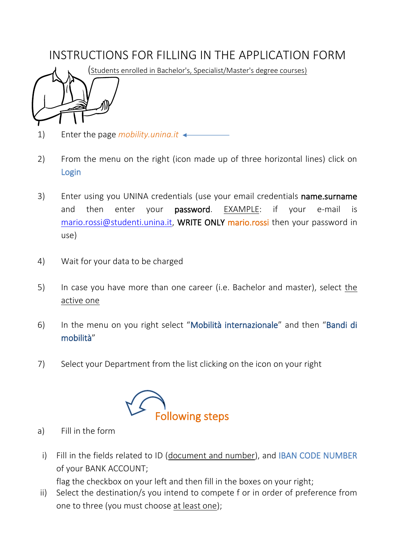## INSTRUCTIONS FOR FILLING IN THE APPLICATION FORM



- 1) Enter the page *mobility.unina.it*
- 2) From the menu on the right (icon made up of three horizontal lines) click on Login
- 3) Enter using you UNINA credentials (use your email credentials name.surname and then enter your **password**. EXAMPLE: if your e-mail is [mario.rossi@studenti.unina.it,](mailto:mario.rossi@studenti.unina.it) WRITE ONLY mario.rossi then your password in use)
- 4) Wait for your data to be charged
- 5) In case you have more than one career (i.e. Bachelor and master), select the active one
- 6) In the menu on you right select "Mobilità internazionale" and then "Bandi di mobilità"
- 7) Select your Department from the list clicking on the icon on your right



- a) Fill in the form
	- i) Fill in the fields related to ID (document and number), and IBAN CODE NUMBER of your BANK ACCOUNT;

flag the checkbox on your left and then fill in the boxes on your right;

ii) Select the destination/s you intend to compete f or in order of preference from one to three (you must choose at least one);